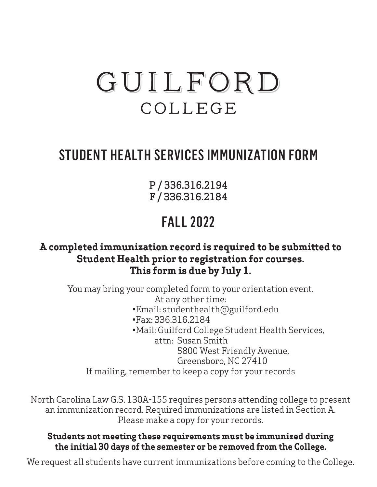# GUILFORD COLLEGE

# STUDENT HEALTH SERVICES IMMUNIZATION FORM

P / 336.316.2194 F / 336.316.2184

# FALL 2022

# **A completed immunization record is required to be submitted to Student Health prior to registration for courses. This form is due by July 1.**

You may bring your completed form to your orientation event. At any other time: •Email: studenthealth@guilford.edu •Fax: 336.316.2184 •Mail: Guilford College Student Health Services, attn: Susan Smith 5800 West Friendly Avenue, Greensboro, NC 27410 If mailing, remember to keep a copy for your records

North Carolina Law G.S. 130A-155 requires persons attending college to present an immunization record. Required immunizations are listed in Section A. Please make a copy for your records.

### **Students not meeting these requirements must be immunized during the initial 30 days of the semester or be removed from the College.**

We request all students have current immunizations before coming to the College.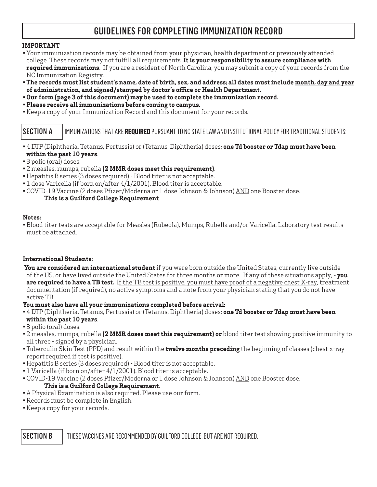# GUIDELINES FOR COMPLETING IMMUNIZATION RECORD

#### **IMPORTANT**

- Your immunization records may be obtained from your physician, health department or previously attended college. These records may not fulfill all requirements. **It is your responsibility to assure compliance with required immunizations**. If you are a resident of North Carolina, you may submit a copy of your records from the NC Immunization Registry.
- • **The records must list student's name, date of birth, sex, and address; all dates must include month, day and year of administration, and signed/stamped by doctor's office or Health Department.**
- **Our form (page 3 of this document) may be used to complete the immunization record.**
- **Please receive all immunizations before coming to campus.**
- Keep a copy of your Immunization Record and this document for your records.

#### SECTION AIMMUNIZATIONS THAT ARE **REQUIRED** PURSUANT TO NC STATE LAW AND INSTITUTIONAL POLICY FOR TRADITIONAL STUDENTS:

- 4 DTP (Diphtheria, Tetanus, Pertussis) or (Tetanus, Diphtheria) doses; **one Td booster or Tdap must have been within the past 10 years**.
- 3 polio (oral) doses.
- 2 measles, mumps, rubella **(2 MMR doses meet this requirement)**.
- Hepatitis B series (3 doses required) Blood titer is not acceptable.
- 1 dose Varicella (if born on/after 4/1/2001). Blood titer is acceptable.
- COVID-19 Vaccine (2 doses Pfizer/Moderna *or* 1 dose Johnson & Johnson) AND one Booster dose. **This is a Guilford College Requirement**.

#### **Notes:**

• Blood titer tests are acceptable for Measles (Rubeola), Mumps, Rubella and/or Varicella. Laboratory test results must be attached.

#### **International Students:**

- **You are considered an international student** if you were born outside the United States, currently live outside of the US, or have lived outside the United States for three months or more. If any of these situations apply, **- you are required to have a TB test.** If the TB test is positive, you must have proof of a negative chest X-ray, treatment documentation (if required), no active symptoms and a note from your physician stating that you do not have active TB.
- **You must also have all your immunizations completed before arrival:**
- 4 DTP (Diphtheria, Tetanus, Pertussis) or (Tetanus, Diphtheria) doses; **one Td booster or Tdap must have been within the past 10 years**.
- 3 polio (oral) doses.
- 2 measles, mumps, rubella **(2 MMR doses meet this requirement)** *or* blood titer test showing positive immunity to all three - signed by a physician.
- Tuberculin Skin Test (PPD) and result within the **twelve months preceding** the beginning of classes (chest x-ray report required if test is positive).
- Hepatitis B series (3 doses required) Blood titer is not acceptable.
- 1 Varicella (if born on/after 4/1/2001). Blood titer is acceptable.
- COVID-19 Vaccine (2 doses Pfizer/Moderna *or* 1 dose Johnson & Johnson) AND one Booster dose.

#### **This is a Guilford College Requirement**.

- A Physical Examination is also required. Please use our form.
- Records must be complete in English.
- Keep a copy for your records.

SECTION B | THESE VACCINES ARE RECOMMENDED BY GUILFORD COLLEGE, BUT ARE NOT REQUIRED.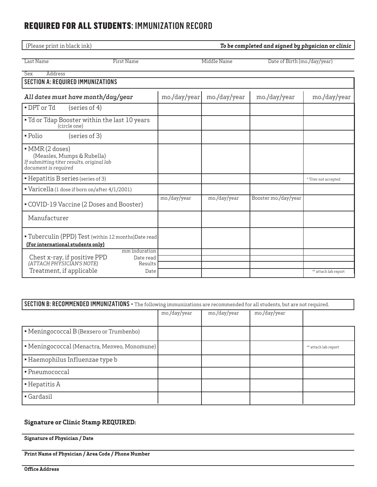### REQUIRED FOR ALL STUDENTS: IMMUNIZATION RECORD

| (Please print in black ink)<br>To be completed and signed by physician or clinic                                   |              |              |                              |                      |  |
|--------------------------------------------------------------------------------------------------------------------|--------------|--------------|------------------------------|----------------------|--|
| Last Name<br><b>First Name</b>                                                                                     |              | Middle Name  | Date of Birth (mo./day/year) |                      |  |
| <b>Sex</b><br>Address                                                                                              |              |              |                              |                      |  |
| <b>SECTION A: REQUIRED IMMUNIZATIONS</b>                                                                           |              |              |                              |                      |  |
| All dates must have month/day/year                                                                                 | mo./day/year | mo./day/year | mo./day/year                 | mo./day/year         |  |
| • DPT or Td<br>$(s$ eries of 4)                                                                                    |              |              |                              |                      |  |
| • Td or Tdap Booster within the last 10 years<br>(circle one)                                                      |              |              |                              |                      |  |
| (series of 3)<br>• Polio                                                                                           |              |              |                              |                      |  |
| • MMR (2 doses)<br>(Measles, Mumps & Rubella)<br>If submitting titer results, original lab<br>document is required |              |              |                              |                      |  |
| • Hepatitis B series (series of 3)                                                                                 |              |              |                              | * Titer not accepted |  |
| "Varicella (1 dose if born on/after 4/1/2001)                                                                      |              |              |                              |                      |  |
| • COVID-19 Vaccine (2 Doses and Booster)                                                                           | mo./day/year | mo./day/year | Booster mo./day/year         |                      |  |
| Manufacturer                                                                                                       |              |              |                              |                      |  |
| " Tuberculin (PPD) Test (within 12 months) Date read<br>(For international students only)                          |              |              |                              |                      |  |
| mm induration<br>Date read                                                                                         |              |              |                              |                      |  |
| Chest x-ray, if positive PPD<br>(ATTACH PHYSICIAN'S NOTE)<br>Results<br>Treatment, if applicable<br>Date           |              |              |                              | ** attach lab report |  |
|                                                                                                                    |              |              |                              |                      |  |

#### SECTION B: RECOMMENDED IMMUNIZATIONS **-** The following immunizations are recommended for all students, but are not required.

|                                              | mo./day/year | mo./day/year | mo./day/year |                      |
|----------------------------------------------|--------------|--------------|--------------|----------------------|
|                                              |              |              |              |                      |
| • Meningococcal B (Bexsero or Trumbenbo)     |              |              |              |                      |
| • Meningococcal (Menactra, Menveo, Monomune) |              |              |              | ** attach lab report |
| • Haemophilus Influenzae type b              |              |              |              |                      |
| • Pneumococcal                               |              |              |              |                      |
| $\blacksquare$ Hepatitis A                   |              |              |              |                      |
| Gardasil                                     |              |              |              |                      |

#### **Signature or Clinic Stamp REQUIRED:**

**Signature of Physician / Date**

**Print Name of Physician / Area Code / Phone Number**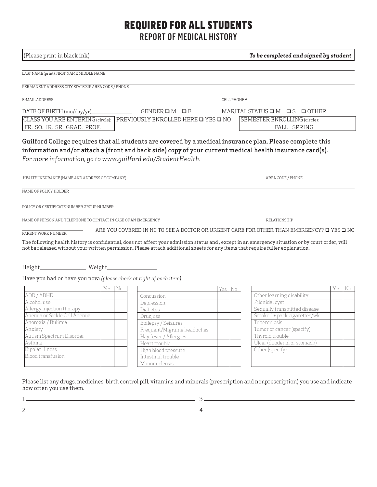# REQUIRED FOR ALL STUDENTS

REPORT OF MEDICAL HISTORY

| (Please print in black ink)                                        |              |                                                                                                                                 |             | To be completed and signed by student                                                                                                                                                                                 |     |    |  |
|--------------------------------------------------------------------|--------------|---------------------------------------------------------------------------------------------------------------------------------|-------------|-----------------------------------------------------------------------------------------------------------------------------------------------------------------------------------------------------------------------|-----|----|--|
| LAST NAME (print) FIRST NAME MIDDLE NAME                           |              |                                                                                                                                 |             |                                                                                                                                                                                                                       |     |    |  |
| PERMANENT ADDRESS CITY STATE ZIP AREA CODE / PHONE                 |              |                                                                                                                                 |             |                                                                                                                                                                                                                       |     |    |  |
| E-MAIL ADDRESS                                                     | CELL PHONE # |                                                                                                                                 |             |                                                                                                                                                                                                                       |     |    |  |
| DATE OF BIRTH (mo/day/yr)                                          |              | GENDEROM OF                                                                                                                     |             | MARITAL STATUS $\Box$ M $\Box$ S $\Box$ OTHER                                                                                                                                                                         |     |    |  |
|                                                                    |              | CLASS YOU ARE ENTERING (circle): PREVIOUSLY ENROLLED HERE Q YES Q NO<br>SEMESTER ENROLLING (circle):                            |             |                                                                                                                                                                                                                       |     |    |  |
| FR. SO. JR. SR. GRAD. PROF.                                        |              |                                                                                                                                 | FALL SPRING |                                                                                                                                                                                                                       |     |    |  |
| For more information, go to www.quilford.edu/StudentHealth.        |              |                                                                                                                                 |             | Guilford College requires that all students are covered by a medical insurance plan. Please complete this<br>information and/or attach a (front and back side) copy of your current medical health insurance card(s). |     |    |  |
| HEALTH INSURANCE (NAME AND ADDRESS OF COMPANY)                     |              |                                                                                                                                 |             | AREA CODE / PHONE                                                                                                                                                                                                     |     |    |  |
| NAME OF POLICY HOLDER                                              |              |                                                                                                                                 |             |                                                                                                                                                                                                                       |     |    |  |
| POLICY OR CERTIFICATE NUMBER GROUP NUMBER                          |              |                                                                                                                                 |             |                                                                                                                                                                                                                       |     |    |  |
| NAME OF PERSON AND TELEPHONE TO CONTACT IN CASE OF AN EMERGENCY    |              |                                                                                                                                 |             | RELATIONSHIP                                                                                                                                                                                                          |     |    |  |
| PARENT WORK NUMBER                                                 |              |                                                                                                                                 |             | ARE YOU COVERED IN NC TO SEE A DOCTOR OR URGENT CARE FOR OTHER THAN EMERGENCY? □ YES □ NO                                                                                                                             |     |    |  |
|                                                                    |              | not be released without your written permission. Please attach additional sheets for any items that require fuller explanation. |             | The following health history is confidential, does not affect your admission status and, except in an emergency situation or by court order, will                                                                     |     |    |  |
|                                                                    |              |                                                                                                                                 |             |                                                                                                                                                                                                                       |     |    |  |
| Have you had or have you now: (please check at right of each item) | Yes   No     |                                                                                                                                 | Yes<br>IN0  |                                                                                                                                                                                                                       | Yes | No |  |
| ADD / ADHD                                                         |              | Concussion                                                                                                                      |             | Other learning disability                                                                                                                                                                                             |     |    |  |
| Alcohol use                                                        |              | Depression                                                                                                                      |             | Pilonidal cyst                                                                                                                                                                                                        |     |    |  |
|                                                                    |              |                                                                                                                                 |             | Sexually transmitted disease                                                                                                                                                                                          |     |    |  |
| Allergy injection therapy<br>Anemia or Sickle Cell Anemia          |              | Diabetes                                                                                                                        |             |                                                                                                                                                                                                                       |     |    |  |
|                                                                    |              | Drug use                                                                                                                        |             | Smoke 1+ pack cigarettes/wk<br>Tuberculosis                                                                                                                                                                           |     |    |  |
| Anorexia / Bulimia<br>Anxiety                                      |              | Epilepsy / Seizures                                                                                                             |             |                                                                                                                                                                                                                       |     |    |  |
|                                                                    |              | Frequent/Migraine headaches                                                                                                     |             | Tumor or cancer (specify)                                                                                                                                                                                             |     |    |  |
| Autism Spectrum Disorder                                           |              | Hay fever / Allergies                                                                                                           |             | Thyroid trouble                                                                                                                                                                                                       |     |    |  |
| Asthma                                                             |              | Heart trouble                                                                                                                   |             | Ulcer (duodenal or stomach)                                                                                                                                                                                           |     |    |  |
| Bipolar Illness                                                    |              | High blood pressure                                                                                                             |             | Other (specify)                                                                                                                                                                                                       |     |    |  |
| Blood transfusion                                                  |              | Intestinal trouble<br>Mononucleosis                                                                                             |             |                                                                                                                                                                                                                       |     |    |  |

Please list any drugs, medicines, birth control pill, vitamins and minerals (prescription and nonprescription) you use and indicate how often you use them.

1 3  $2 -$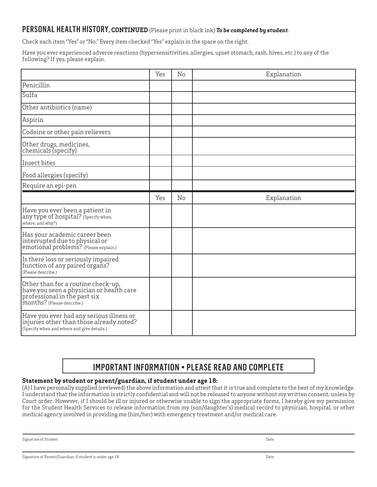### PERSONAL HEALTH HISTORY**, CONTINUED** (Please print in black ink) *To be completed by student*.

Check each item "Yes" or "No." Every item checked "Yes" explain in the space on the right.

Have you ever experienced adverse reactions (hypersensitivities, allergies, upset stomach, rash, hives, etc.) to any of the following? If yes, please explain.

|                                                                                                                                              | Yes | No | Explanation |
|----------------------------------------------------------------------------------------------------------------------------------------------|-----|----|-------------|
| Penicillin                                                                                                                                   |     |    |             |
| Sulfa                                                                                                                                        |     |    |             |
| Other antibiotics (name)                                                                                                                     |     |    |             |
| Aspirin                                                                                                                                      |     |    |             |
| Codeine or other pain relievers                                                                                                              |     |    |             |
| Other drugs, medicines,<br>chemicals (specify)                                                                                               |     |    |             |
| Insect bites                                                                                                                                 |     |    |             |
| Food allergies (specify)                                                                                                                     |     |    |             |
| Require an epi-pen                                                                                                                           |     |    |             |
|                                                                                                                                              | Yes | No | Explanation |
| Have you ever been a patient in<br>any type of hospital? (Specify when,<br>where, and why?)                                                  |     |    |             |
| Has your academic career been<br>interrupted due to physical or<br>emotional problems? (Please explain.)                                     |     |    |             |
| Is there loss or seriously impaired<br>function of any paired organs?<br>(Please describe.)                                                  |     |    |             |
| Other than for a routine check-up,<br>have you seen a physician or health care<br>professional in the past six<br>months? (Please describe.) |     |    |             |
| Have you ever had any serious illness or<br>injuries other than those already noted?<br>(Specify when and where and give details.)           |     |    |             |

# IMPORTANT INFORMATION • PLEASE READ AND COMPLETE

#### **Statement by student or parent/guardian, if student under age 18:**

(A) I have personally supplied (reviewed) the above information and attest that it is true and complete to the best of my knowledge. I understand that the information is strictly confidential and will not be released to anyone without my written consent, unless by Court order. However, if I should be ill or injured or otherwise unable to sign the appropriate forms, I hereby give my permission for the Student Health Services to release information from my (son/daughter's) medical record to physician, hospital, or other medical agency involved in providing me (him/her) with emergency treatment and/or medical care.

Signature of Student Date Communications of Student Date Communications of Student Date Communications of Date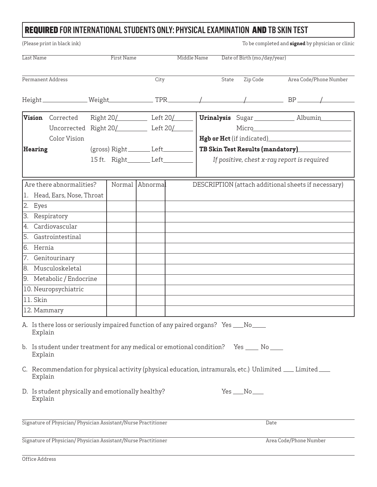# REQUIRED FOR INTERNATIONAL STUDENTS ONLY: PHYSICAL EXAMINATION AND TB SKIN TEST

| (Please print in black ink)                                                                                                                                                                                                                                                                                                                                                                                                                                                                              |                                                                      |                                     |             |                                             | To be completed and signed by physician or clinic   |  |
|----------------------------------------------------------------------------------------------------------------------------------------------------------------------------------------------------------------------------------------------------------------------------------------------------------------------------------------------------------------------------------------------------------------------------------------------------------------------------------------------------------|----------------------------------------------------------------------|-------------------------------------|-------------|---------------------------------------------|-----------------------------------------------------|--|
| Last Name                                                                                                                                                                                                                                                                                                                                                                                                                                                                                                | <b>First Name</b>                                                    |                                     | Middle Name | Date of Birth (mo./day/year)                |                                                     |  |
| Permanent Address                                                                                                                                                                                                                                                                                                                                                                                                                                                                                        |                                                                      | City                                |             | Zip Code<br>State                           | Area Code/Phone Number                              |  |
|                                                                                                                                                                                                                                                                                                                                                                                                                                                                                                          |                                                                      |                                     |             |                                             |                                                     |  |
|                                                                                                                                                                                                                                                                                                                                                                                                                                                                                                          | $\boxed{\text{Vision}}$ Corrected Right 20/_________ Left 20/_______ |                                     |             |                                             | <b>Urinalysis</b> Sugar ______________ Albumin      |  |
|                                                                                                                                                                                                                                                                                                                                                                                                                                                                                                          | Uncorrected Right 20/ Left 20/                                       |                                     |             |                                             |                                                     |  |
| Color Vision                                                                                                                                                                                                                                                                                                                                                                                                                                                                                             |                                                                      |                                     |             |                                             |                                                     |  |
| <b>Hearing</b>                                                                                                                                                                                                                                                                                                                                                                                                                                                                                           |                                                                      | $(gross) Right$ Left                |             | TB Skin Test Results (mandatory)            |                                                     |  |
|                                                                                                                                                                                                                                                                                                                                                                                                                                                                                                          |                                                                      | 15 ft. Right_________ Left_________ |             | If positive, chest x-ray report is required |                                                     |  |
| Are there abnormalities?<br>1. Head, Ears, Nose, Throat<br>2. Eyes<br>3. Respiratory<br>4. Cardiovascular<br>5. Gastrointestinal<br>6. Hernia<br>7. Genitourinary<br>8. Musculoskeletal<br>9. Metabolic / Endocrine<br>10. Neuropsychiatric                                                                                                                                                                                                                                                              | Normal                                                               | Abnormal                            |             |                                             | DESCRIPTION (attach additional sheets if necessary) |  |
| 11. Skin                                                                                                                                                                                                                                                                                                                                                                                                                                                                                                 |                                                                      |                                     |             |                                             |                                                     |  |
| 12. Mammary<br>A. Is there loss or seriously impaired function of any paired organs? Yes __No___<br>Explain<br>b. Is student under treatment for any medical or emotional condition?  Yes _____ No ____<br>Explain<br>C. Recommendation for physical activity (physical education, intramurals, etc.) Unlimited ___ Limited ___<br>Explain<br>D. Is student physically and emotionally healthy?<br>$Yes$ $No$ $\_\_$<br>Explain<br>Signature of Physician/Physician Assistant/Nurse Practitioner<br>Date |                                                                      |                                     |             |                                             |                                                     |  |
| Signature of Physician/Physician Assistant/Nurse Practitioner                                                                                                                                                                                                                                                                                                                                                                                                                                            |                                                                      |                                     |             |                                             | Area Code/Phone Number                              |  |